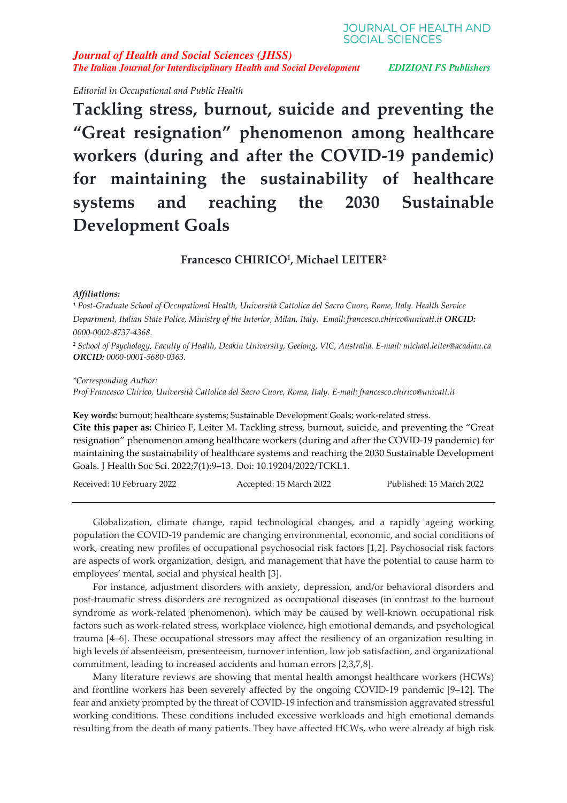**JOURNAL OF HEALTH AND SOCIAL SCIENCES** 

*Journal of Health and Social Sciences (JHSS) The Italian Journal for Interdisciplinary Health and Social Development EDIZIONI FS Publishers*

*Editorial in Occupational and Public Health* 

**Tackling stress, burnout, suicide and preventing the "Great resignation" phenomenon among healthcare workers (during and after the COVID-19 pandemic) for maintaining the sustainability of healthcare systems and reaching the 2030 Sustainable Development Goals** 

**Francesco CHIRICO<sup>1</sup> , Michael LEITER<sup>2</sup>**

## *Affiliations:*

*1 Post-Graduate School of Occupational Health, Università Cattolica del Sacro Cuore, Rome, Italy. Health Service Department, Italian State Police, Ministry of the Interior, Milan, Italy. Email: francesco.chirico@unicatt.it ORCID: 0000-0002-8737-4368.* 

*2 School of Psychology, Faculty of Health, Deakin University, Geelong, VIC, Australia. E-mail: michael.leiter@acadiau.ca ORCID: 0000-0001-5680-0363.* 

*\*Corresponding Author:* 

*Prof Francesco Chirico, Università Cattolica del Sacro Cuore, Roma, Italy. E-mail: francesco.chirico@unicatt.it* 

**Key words:** burnout; healthcare systems; Sustainable Development Goals; work-related stress.

**Cite this paper as:** Chirico F, Leiter M. Tackling stress, burnout, suicide, and preventing the "Great resignation" phenomenon among healthcare workers (during and after the COVID-19 pandemic) for maintaining the sustainability of healthcare systems and reaching the 2030 Sustainable Development Goals. J Health Soc Sci. 2022;7(1):9–13. Doi: 10.19204/2022/TCKL1.

Received: 10 February 2022 Accepted: 15 March 2022 Published: 15 March 2022

Globalization, climate change, rapid technological changes, and a rapidly ageing working population the COVID-19 pandemic are changing environmental, economic, and social conditions of work, creating new profiles of occupational psychosocial risk factors [1,2]. Psychosocial risk factors are aspects of work organization, design, and management that have the potential to cause harm to employees' mental, social and physical health [3].

For instance, adjustment disorders with anxiety, depression, and/or behavioral disorders and post-traumatic stress disorders are recognized as occupational diseases (in contrast to the burnout syndrome as work-related phenomenon), which may be caused by well-known occupational risk factors such as work-related stress, workplace violence, high emotional demands, and psychological trauma [4–6]. These occupational stressors may affect the resiliency of an organization resulting in high levels of absenteeism, presenteeism, turnover intention, low job satisfaction, and organizational commitment, leading to increased accidents and human errors [2,3,7,8].

Many literature reviews are showing that mental health amongst healthcare workers (HCWs) and frontline workers has been severely affected by the ongoing COVID-19 pandemic [9–12]. The fear and anxiety prompted by the threat of COVID-19 infection and transmission aggravated stressful working conditions. These conditions included excessive workloads and high emotional demands resulting from the death of many patients. They have affected HCWs, who were already at high risk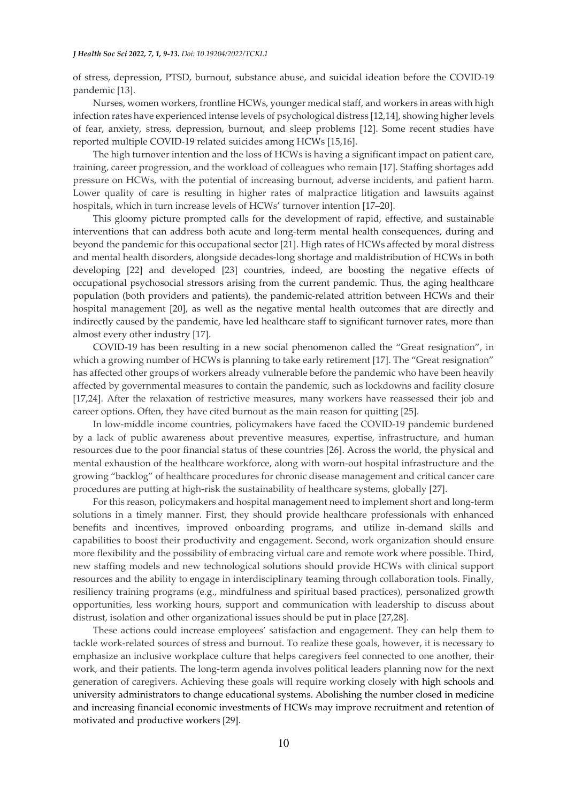of stress, depression, PTSD, burnout, substance abuse, and suicidal ideation before the COVID-19 pandemic [13].

Nurses, women workers, frontline HCWs, younger medical staff, and workers in areas with high infection rates have experienced intense levels of psychological distress [12,14], showing higher levels of fear, anxiety, stress, depression, burnout, and sleep problems [12]. Some recent studies have reported multiple COVID-19 related suicides among HCWs [15,16].

The high turnover intention and the loss of HCWs is having a significant impact on patient care, training, career progression, and the workload of colleagues who remain [17]. Staffing shortages add pressure on HCWs, with the potential of increasing burnout, adverse incidents, and patient harm. Lower quality of care is resulting in higher rates of malpractice litigation and lawsuits against hospitals, which in turn increase levels of HCWs' turnover intention [17–20].

This gloomy picture prompted calls for the development of rapid, effective, and sustainable interventions that can address both acute and long-term mental health consequences, during and beyond the pandemic for this occupational sector [21]. High rates of HCWs affected by moral distress and mental health disorders, alongside decades-long shortage and maldistribution of HCWs in both developing [22] and developed [23] countries, indeed, are boosting the negative effects of occupational psychosocial stressors arising from the current pandemic. Thus, the aging healthcare population (both providers and patients), the pandemic-related attrition between HCWs and their hospital management [20], as well as the negative mental health outcomes that are directly and indirectly caused by the pandemic, have led healthcare staff to significant turnover rates, more than almost every other industry [17].

COVID-19 has been resulting in a new social phenomenon called the "Great resignation", in which a growing number of HCWs is planning to take early retirement [17]. The "Great resignation" has affected other groups of workers already vulnerable before the pandemic who have been heavily affected by governmental measures to contain the pandemic, such as lockdowns and facility closure [17,24]. After the relaxation of restrictive measures, many workers have reassessed their job and career options. Often, they have cited burnout as the main reason for quitting [25].

In low-middle income countries, policymakers have faced the COVID-19 pandemic burdened by a lack of public awareness about preventive measures, expertise, infrastructure, and human resources due to the poor financial status of these countries [26]. Across the world, the physical and mental exhaustion of the healthcare workforce, along with worn-out hospital infrastructure and the growing "backlog" of healthcare procedures for chronic disease management and critical cancer care procedures are putting at high-risk the sustainability of healthcare systems, globally [27].

For this reason, policymakers and hospital management need to implement short and long-term solutions in a timely manner. First, they should provide healthcare professionals with enhanced benefits and incentives, improved onboarding programs, and utilize in-demand skills and capabilities to boost their productivity and engagement. Second, work organization should ensure more flexibility and the possibility of embracing virtual care and remote work where possible. Third, new staffing models and new technological solutions should provide HCWs with clinical support resources and the ability to engage in interdisciplinary teaming through collaboration tools. Finally, resiliency training programs (e.g., mindfulness and spiritual based practices), personalized growth opportunities, less working hours, support and communication with leadership to discuss about distrust, isolation and other organizational issues should be put in place [27,28].

These actions could increase employees' satisfaction and engagement. They can help them to tackle work-related sources of stress and burnout. To realize these goals, however, it is necessary to emphasize an inclusive workplace culture that helps caregivers feel connected to one another, their work, and their patients. The long-term agenda involves political leaders planning now for the next generation of caregivers. Achieving these goals will require working closely with high schools and university administrators to change educational systems. Abolishing the number closed in medicine and increasing financial economic investments of HCWs may improve recruitment and retention of motivated and productive workers [29].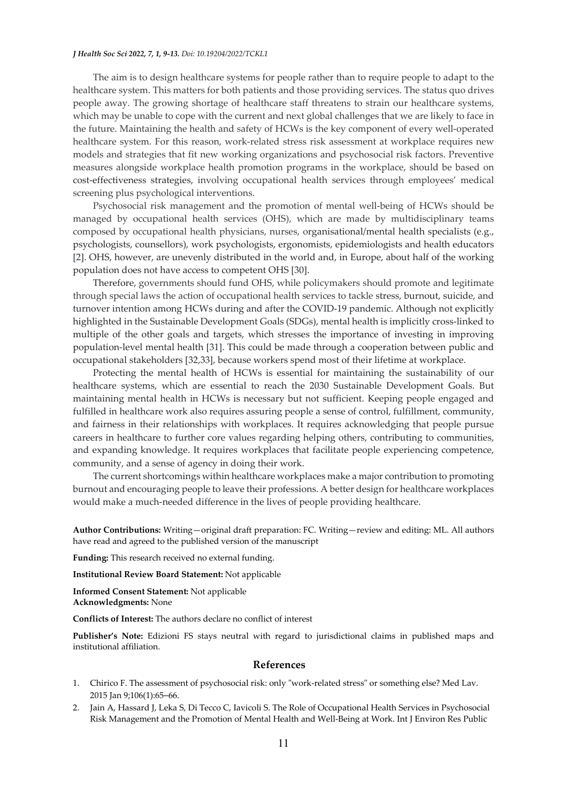## *J Health Soc Sci 2022, 7, 1, 9-13. Doi: 10.19204/2022/TCKL1*

The aim is to design healthcare systems for people rather than to require people to adapt to the healthcare system. This matters for both patients and those providing services. The status quo drives people away. The growing shortage of healthcare staff threatens to strain our healthcare systems, which may be unable to cope with the current and next global challenges that we are likely to face in the future. Maintaining the health and safety of HCWs is the key component of every well-operated healthcare system. For this reason, work-related stress risk assessment at workplace requires new models and strategies that fit new working organizations and psychosocial risk factors. Preventive measures alongside workplace health promotion programs in the workplace, should be based on cost-effectiveness strategies, involving occupational health services through employees' medical screening plus psychological interventions.

Psychosocial risk management and the promotion of mental well-being of HCWs should be managed by occupational health services (OHS), which are made by multidisciplinary teams composed by occupational health physicians, nurses, organisational/mental health specialists (e.g., psychologists, counsellors), work psychologists, ergonomists, epidemiologists and health educators [2]. OHS, however, are unevenly distributed in the world and, in Europe, about half of the working population does not have access to competent OHS [30].

Therefore, governments should fund OHS, while policymakers should promote and legitimate through special laws the action of occupational health services to tackle stress, burnout, suicide, and turnover intention among HCWs during and after the COVID-19 pandemic. Although not explicitly highlighted in the Sustainable Development Goals (SDGs), mental health is implicitly cross-linked to multiple of the other goals and targets, which stresses the importance of investing in improving population-level mental health [31]. This could be made through a cooperation between public and occupational stakeholders [32,33], because workers spend most of their lifetime at workplace.

Protecting the mental health of HCWs is essential for maintaining the sustainability of our healthcare systems, which are essential to reach the 2030 Sustainable Development Goals. But maintaining mental health in HCWs is necessary but not sufficient. Keeping people engaged and fulfilled in healthcare work also requires assuring people a sense of control, fulfillment, community, and fairness in their relationships with workplaces. It requires acknowledging that people pursue careers in healthcare to further core values regarding helping others, contributing to communities, and expanding knowledge. It requires workplaces that facilitate people experiencing competence, community, and a sense of agency in doing their work.

The current shortcomings within healthcare workplaces make a major contribution to promoting burnout and encouraging people to leave their professions. A better design for healthcare workplaces would make a much-needed difference in the lives of people providing healthcare.

**Author Contributions:** Writing—original draft preparation: FC. Writing—review and editing: ML. All authors have read and agreed to the published version of the manuscript

**Funding:** This research received no external funding.

**Institutional Review Board Statement:** Not applicable

**Informed Consent Statement:** Not applicable **Acknowledgments:** None

**Conflicts of Interest:** The authors declare no conflict of interest

**Publisher's Note:** Edizioni FS stays neutral with regard to jurisdictional claims in published maps and institutional affiliation.

## **References**

- 1. Chirico F. The assessment of psychosocial risk: only "work-related stress" or something else? Med Lav. 2015 Jan 9;106(1):65–66.
- 2. Jain A, Hassard J, Leka S, Di Tecco C, Iavicoli S. The Role of Occupational Health Services in Psychosocial Risk Management and the Promotion of Mental Health and Well-Being at Work. Int J Environ Res Public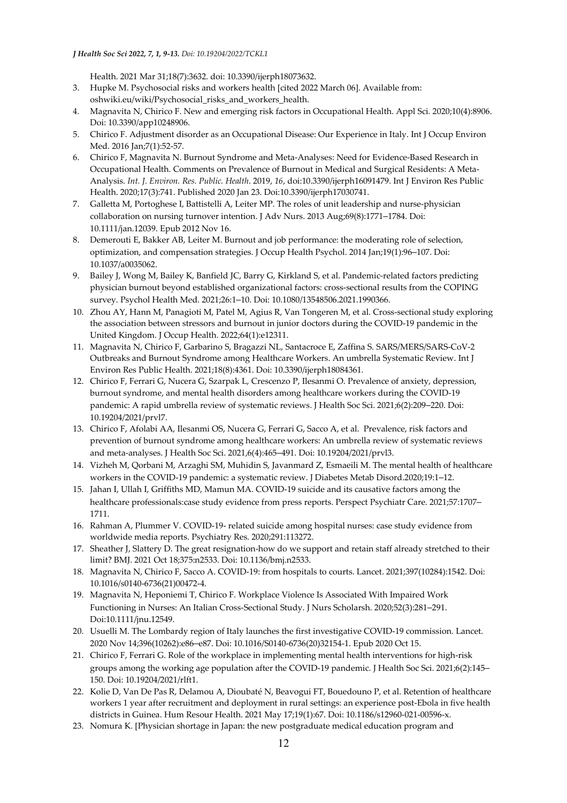## *J Health Soc Sci 2022, 7, 1, 9-13. Doi: 10.19204/2022/TCKL1*

Health. 2021 Mar 31;18(7):3632. doi: 10.3390/ijerph18073632.

- 3. Hupke M. Psychosocial risks and workers health [cited 2022 March 06]. Available from: oshwiki.eu/wiki/Psychosocial\_risks\_and\_workers\_health.
- 4. Magnavita N, Chirico F. New and emerging risk factors in Occupational Health. Appl Sci*.* 2020;10(4):8906. Doi: 10.3390/app10248906.
- 5. Chirico F. Adjustment disorder as an Occupational Disease: Our Experience in Italy. Int J Occup Environ Med. 2016 Jan;7(1):52-57.
- 6. Chirico F, Magnavita N. Burnout Syndrome and Meta-Analyses: Need for Evidence-Based Research in Occupational Health. Comments on Prevalence of Burnout in Medical and Surgical Residents: A Meta-Analysis. *Int. J. Environ. Res. Public. Health*. 2019, *16*, doi:10.3390/ijerph16091479. Int J Environ Res Public Health. 2020;17(3):741. Published 2020 Jan 23. Doi:10.3390/ijerph17030741.
- 7. Galletta M, Portoghese I, Battistelli A, Leiter MP. The roles of unit leadership and nurse-physician collaboration on nursing turnover intention. J Adv Nurs. 2013 Aug;69(8):1771–1784. Doi: 10.1111/jan.12039. Epub 2012 Nov 16.
- 8. Demerouti E, Bakker AB, Leiter M. Burnout and job performance: the moderating role of selection, optimization, and compensation strategies. J Occup Health Psychol. 2014 Jan;19(1):96–107. Doi: 10.1037/a0035062.
- 9. Bailey J, Wong M, Bailey K, Banfield JC, Barry G, Kirkland S, et al. Pandemic-related factors predicting physician burnout beyond established organizational factors: cross-sectional results from the COPING survey. Psychol Health Med. 2021;26:1–10. Doi: 10.1080/13548506.2021.1990366.
- 10. Zhou AY, Hann M, Panagioti M, Patel M, Agius R, Van Tongeren M, et al. Cross-sectional study exploring the association between stressors and burnout in junior doctors during the COVID-19 pandemic in the United Kingdom. J Occup Health. 2022;64(1):e12311.
- 11. Magnavita N, Chirico F, Garbarino S, Bragazzi NL, Santacroce E, Zaffina S. SARS/MERS/SARS-CoV-2 Outbreaks and Burnout Syndrome among Healthcare Workers. An umbrella Systematic Review. Int J Environ Res Public Health. 2021;18(8):4361. Doi: 10.3390/ijerph18084361.
- 12. Chirico F, Ferrari G, Nucera G, Szarpak L, Crescenzo P, Ilesanmi O. Prevalence of anxiety, depression, burnout syndrome, and mental health disorders among healthcare workers during the COVID-19 pandemic: A rapid umbrella review of systematic reviews. J Health Soc Sci. 2021;6(2):209–220. Doi: 10.19204/2021/prvl7.
- 13. Chirico F, Afolabi AA, Ilesanmi OS, Nucera G, Ferrari G, Sacco A, et al. Prevalence, risk factors and prevention of burnout syndrome among healthcare workers: An umbrella review of systematic reviews and meta-analyses. J Health Soc Sci. 2021,6(4):465–491. Doi: 10.19204/2021/prvl3.
- 14. Vizheh M, Qorbani M, Arzaghi SM, Muhidin S, Javanmard Z, Esmaeili M. The mental health of healthcare workers in the COVID-19 pandemic: a systematic review. J Diabetes Metab Disord.2020;19:1–12.
- 15. Jahan I, Ullah I, Griffiths MD, Mamun MA. COVID-19 suicide and its causative factors among the healthcare professionals:case study evidence from press reports. Perspect Psychiatr Care. 2021;57:1707– 1711.
- 16. Rahman A, Plummer V. COVID-19- related suicide among hospital nurses: case study evidence from worldwide media reports. Psychiatry Res. 2020;291:113272.
- 17. Sheather J, Slattery D. The great resignation-how do we support and retain staff already stretched to their limit? BMJ. 2021 Oct 18;375:n2533. Doi: 10.1136/bmj.n2533.
- 18. Magnavita N, Chirico F, Sacco A. COVID-19: from hospitals to courts. Lancet. 2021;397(10284):1542. Doi: 10.1016/s0140-6736(21)00472-4.
- 19. Magnavita N, Heponiemi T, Chirico F. Workplace Violence Is Associated With Impaired Work Functioning in Nurses: An Italian Cross-Sectional Study. J Nurs Scholarsh. 2020;52(3):281–291. Doi:10.1111/jnu.12549.
- 20. Usuelli M. The Lombardy region of Italy launches the first investigative COVID-19 commission. Lancet. 2020 Nov 14;396(10262):e86–e87. Doi: 10.1016/S0140-6736(20)32154-1. Epub 2020 Oct 15.
- 21. Chirico F, Ferrari G. Role of the workplace in implementing mental health interventions for high-risk groups among the working age population after the COVID-19 pandemic. J Health Soc Sci. 2021;6(2):145– 150. Doi: 10.19204/2021/rlft1.
- 22. Kolie D, Van De Pas R, Delamou A, Dioubaté N, Beavogui FT, Bouedouno P, et al. Retention of healthcare workers 1 year after recruitment and deployment in rural settings: an experience post-Ebola in five health districts in Guinea. Hum Resour Health. 2021 May 17;19(1):67. Doi: 10.1186/s12960-021-00596-x.
- 23. Nomura K. [Physician shortage in Japan: the new postgraduate medical education program and